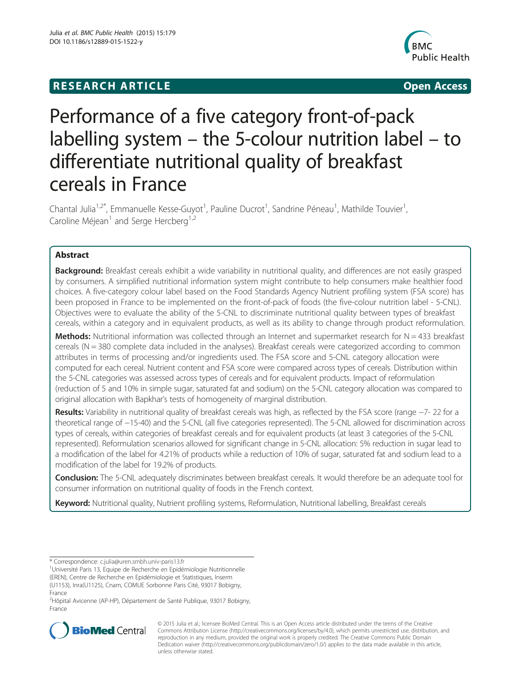# **RESEARCH ARTICLE CONSUMING A RESEARCH ARTICLE**



# Performance of a five category front-of-pack labelling system – the 5-colour nutrition label – to differentiate nutritional quality of breakfast cereals in France

Chantal Julia<sup>1,2\*</sup>, Emmanuelle Kesse-Guyot<sup>1</sup>, Pauline Ducrot<sup>1</sup>, Sandrine Péneau<sup>1</sup>, Mathilde Touvier<sup>1</sup> , Caroline Méjean<sup>1</sup> and Serge Hercberg<sup>1,2</sup>

# Abstract

Background: Breakfast cereals exhibit a wide variability in nutritional quality, and differences are not easily grasped by consumers. A simplified nutritional information system might contribute to help consumers make healthier food choices. A five-category colour label based on the Food Standards Agency Nutrient profiling system (FSA score) has been proposed in France to be implemented on the front-of-pack of foods (the five-colour nutrition label - 5-CNL). Objectives were to evaluate the ability of the 5-CNL to discriminate nutritional quality between types of breakfast cereals, within a category and in equivalent products, as well as its ability to change through product reformulation.

**Methods:** Nutritional information was collected through an Internet and supermarket research for  $N = 433$  breakfast cereals (N = 380 complete data included in the analyses). Breakfast cereals were categorized according to common attributes in terms of processing and/or ingredients used. The FSA score and 5-CNL category allocation were computed for each cereal. Nutrient content and FSA score were compared across types of cereals. Distribution within the 5-CNL categories was assessed across types of cereals and for equivalent products. Impact of reformulation (reduction of 5 and 10% in simple sugar, saturated fat and sodium) on the 5-CNL category allocation was compared to original allocation with Bapkhar's tests of homogeneity of marginal distribution.

Results: Variability in nutritional quality of breakfast cereals was high, as reflected by the FSA score (range -7- 22 for a theoretical range of −15-40) and the 5-CNL (all five categories represented). The 5-CNL allowed for discrimination across types of cereals, within categories of breakfast cereals and for equivalent products (at least 3 categories of the 5-CNL represented). Reformulation scenarios allowed for significant change in 5-CNL allocation: 5% reduction in sugar lead to a modification of the label for 4.21% of products while a reduction of 10% of sugar, saturated fat and sodium lead to a modification of the label for 19.2% of products.

Conclusion: The 5-CNL adequately discriminates between breakfast cereals. It would therefore be an adequate tool for consumer information on nutritional quality of foods in the French context.

Keyword: Nutritional quality, Nutrient profiling systems, Reformulation, Nutritional labelling, Breakfast cereals

<sup>&</sup>lt;sup>2</sup>Hôpital Avicenne (AP-HP), Département de Santé Publique, 93017 Bobigny, France



© 2015 Julia et al.; licensee BioMed Central. This is an Open Access article distributed under the terms of the Creative Commons Attribution License [\(http://creativecommons.org/licenses/by/4.0\)](http://creativecommons.org/licenses/by/4.0), which permits unrestricted use, distribution, and reproduction in any medium, provided the original work is properly credited. The Creative Commons Public Domain Dedication waiver [\(http://creativecommons.org/publicdomain/zero/1.0/](http://creativecommons.org/publicdomain/zero/1.0/)) applies to the data made available in this article, unless otherwise stated.

<sup>\*</sup> Correspondence: [c.julia@uren.smbh.univ-paris13.fr](mailto:c.julia@uren.smbh.univ-paris13.fr) <sup>1</sup>

<sup>&</sup>lt;sup>1</sup>Université Paris 13, Equipe de Recherche en Epidémiologie Nutritionnelle

<sup>(</sup>EREN), Centre de Recherche en Epidémiologie et Statistiques, Inserm (U1153), Inra(U1125), Cnam, COMUE Sorbonne Paris Cité, 93017 Bobigny, France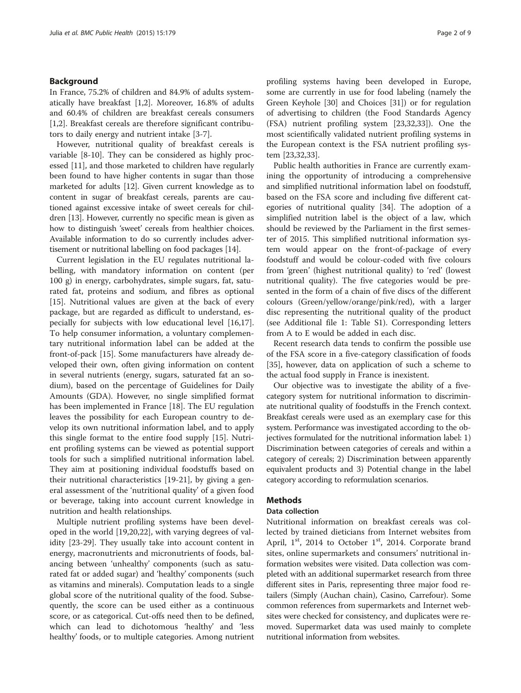#### Background

In France, 75.2% of children and 84.9% of adults systematically have breakfast [\[1,2](#page-7-0)]. Moreover, 16.8% of adults and 60.4% of children are breakfast cereals consumers [[1,2\]](#page-7-0). Breakfast cereals are therefore significant contributors to daily energy and nutrient intake [[3-](#page-7-0)[7\]](#page-8-0).

However, nutritional quality of breakfast cereals is variable [\[8](#page-8-0)-[10\]](#page-8-0). They can be considered as highly processed [\[11](#page-8-0)], and those marketed to children have regularly been found to have higher contents in sugar than those marketed for adults [\[12\]](#page-8-0). Given current knowledge as to content in sugar of breakfast cereals, parents are cautioned against excessive intake of sweet cereals for children [\[13\]](#page-8-0). However, currently no specific mean is given as how to distinguish 'sweet' cereals from healthier choices. Available information to do so currently includes advertisement or nutritional labelling on food packages [\[14](#page-8-0)].

Current legislation in the EU regulates nutritional labelling, with mandatory information on content (per 100 g) in energy, carbohydrates, simple sugars, fat, saturated fat, proteins and sodium, and fibres as optional [[15\]](#page-8-0). Nutritional values are given at the back of every package, but are regarded as difficult to understand, especially for subjects with low educational level [\[16,17](#page-8-0)]. To help consumer information, a voluntary complementary nutritional information label can be added at the front-of-pack [\[15\]](#page-8-0). Some manufacturers have already developed their own, often giving information on content in several nutrients (energy, sugars, saturated fat an sodium), based on the percentage of Guidelines for Daily Amounts (GDA). However, no single simplified format has been implemented in France [\[18](#page-8-0)]. The EU regulation leaves the possibility for each European country to develop its own nutritional information label, and to apply this single format to the entire food supply [[15\]](#page-8-0). Nutrient profiling systems can be viewed as potential support tools for such a simplified nutritional information label. They aim at positioning individual foodstuffs based on their nutritional characteristics [\[19](#page-8-0)-[21](#page-8-0)], by giving a general assessment of the 'nutritional quality' of a given food or beverage, taking into account current knowledge in nutrition and health relationships.

Multiple nutrient profiling systems have been developed in the world [[19](#page-8-0),[20](#page-8-0),[22](#page-8-0)], with varying degrees of validity [[23](#page-8-0)-[29\]](#page-8-0). They usually take into account content in energy, macronutrients and micronutrients of foods, balancing between 'unhealthy' components (such as saturated fat or added sugar) and 'healthy' components (such as vitamins and minerals). Computation leads to a single global score of the nutritional quality of the food. Subsequently, the score can be used either as a continuous score, or as categorical. Cut-offs need then to be defined, which can lead to dichotomous 'healthy' and 'less healthy' foods, or to multiple categories. Among nutrient

profiling systems having been developed in Europe, some are currently in use for food labeling (namely the Green Keyhole [[30](#page-8-0)] and Choices [[31\]](#page-8-0)) or for regulation of advertising to children (the Food Standards Agency (FSA) nutrient profiling system [[23,32,33\]](#page-8-0)). One the most scientifically validated nutrient profiling systems in the European context is the FSA nutrient profiling system [[23](#page-8-0),[32](#page-8-0),[33](#page-8-0)].

Public health authorities in France are currently examining the opportunity of introducing a comprehensive and simplified nutritional information label on foodstuff, based on the FSA score and including five different categories of nutritional quality [\[34\]](#page-8-0). The adoption of a simplified nutrition label is the object of a law, which should be reviewed by the Parliament in the first semester of 2015. This simplified nutritional information system would appear on the front-of-package of every foodstuff and would be colour-coded with five colours from 'green' (highest nutritional quality) to 'red' (lowest nutritional quality). The five categories would be presented in the form of a chain of five discs of the different colours (Green/yellow/orange/pink/red), with a larger disc representing the nutritional quality of the product (see Additional file [1:](#page-7-0) Table S1). Corresponding letters from A to E would be added in each disc.

Recent research data tends to confirm the possible use of the FSA score in a five-category classification of foods [[35\]](#page-8-0), however, data on application of such a scheme to the actual food supply in France is inexistent.

Our objective was to investigate the ability of a fivecategory system for nutritional information to discriminate nutritional quality of foodstuffs in the French context. Breakfast cereals were used as an exemplary case for this system. Performance was investigated according to the objectives formulated for the nutritional information label: 1) Discrimination between categories of cereals and within a category of cereals; 2) Discrimination between apparently equivalent products and 3) Potential change in the label category according to reformulation scenarios.

# Methods

# Data collection

Nutritional information on breakfast cereals was collected by trained dieticians from Internet websites from April,  $1<sup>st</sup>$ , 2014 to October  $1<sup>st</sup>$ , 2014. Corporate brand sites, online supermarkets and consumers' nutritional information websites were visited. Data collection was completed with an additional supermarket research from three different sites in Paris, representing three major food retailers (Simply (Auchan chain), Casino, Carrefour). Some common references from supermarkets and Internet websites were checked for consistency, and duplicates were removed. Supermarket data was used mainly to complete nutritional information from websites.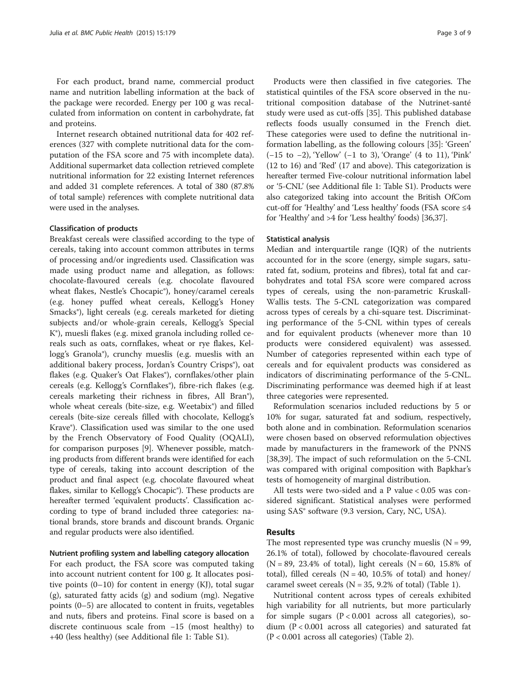For each product, brand name, commercial product name and nutrition labelling information at the back of the package were recorded. Energy per 100 g was recalculated from information on content in carbohydrate, fat and proteins.

Internet research obtained nutritional data for 402 references (327 with complete nutritional data for the computation of the FSA score and 75 with incomplete data). Additional supermarket data collection retrieved complete nutritional information for 22 existing Internet references and added 31 complete references. A total of 380 (87.8% of total sample) references with complete nutritional data were used in the analyses.

#### Classification of products

Breakfast cereals were classified according to the type of cereals, taking into account common attributes in terms of processing and/or ingredients used. Classification was made using product name and allegation, as follows: chocolate-flavoured cereals (e.g. chocolate flavoured wheat flakes, Nestle's Chocapic®), honey/caramel cereals (e.g. honey puffed wheat cereals, Kellogg's Honey Smacks®), light cereals (e.g. cereals marketed for dieting subjects and/or whole-grain cereals, Kellogg's Special K®), muesli flakes (e.g. mixed granola including rolled cereals such as oats, cornflakes, wheat or rye flakes, Kellogg's Granola®), crunchy mueslis (e.g. mueslis with an additional bakery process, Jordan's Country Crisps®), oat flakes (e.g. Quaker's Oat Flakes<sup>®</sup>), cornflakes/other plain cereals (e.g. Kellogg's Cornflakes®), fibre-rich flakes (e.g. cereals marketing their richness in fibres, All Bran®), whole wheat cereals (bite-size, e.g. Weetabix®) and filled cereals (bite-size cereals filled with chocolate, Kellogg's Krave®). Classification used was similar to the one used by the French Observatory of Food Quality (OQALI), for comparison purposes [\[9](#page-8-0)]. Whenever possible, matching products from different brands were identified for each type of cereals, taking into account description of the product and final aspect (e.g. chocolate flavoured wheat flakes, similar to Kellogg's Chocapic<sup>®</sup>). These products are hereafter termed 'equivalent products'. Classification according to type of brand included three categories: national brands, store brands and discount brands. Organic and regular products were also identified.

#### Nutrient profiling system and labelling category allocation

For each product, the FSA score was computed taking into account nutrient content for 100 g. It allocates positive points  $(0-10)$  for content in energy  $(KJ)$ , total sugar (g), saturated fatty acids (g) and sodium (mg). Negative points (0–5) are allocated to content in fruits, vegetables and nuts, fibers and proteins. Final score is based on a discrete continuous scale from −15 (most healthy) to +40 (less healthy) (see Additional file [1](#page-7-0): Table S1).

Products were then classified in five categories. The statistical quintiles of the FSA score observed in the nutritional composition database of the Nutrinet-santé study were used as cut-offs [[35\]](#page-8-0). This published database reflects foods usually consumed in the French diet. These categories were used to define the nutritional information labelling, as the following colours [\[35](#page-8-0)]: 'Green' (−15 to −2), 'Yellow' (−1 to 3), 'Orange' (4 to 11), 'Pink' (12 to 16) and 'Red' (17 and above). This categorization is hereafter termed Five-colour nutritional information label or '5-CNL' (see Additional file [1](#page-7-0): Table S1). Products were also categorized taking into account the British OfCom cut-off for 'Healthy' and 'Less healthy' foods (FSA score ≤4 for 'Healthy' and >4 for 'Less healthy' foods) [\[36,37](#page-8-0)].

#### Statistical analysis

Median and interquartile range (IQR) of the nutrients accounted for in the score (energy, simple sugars, saturated fat, sodium, proteins and fibres), total fat and carbohydrates and total FSA score were compared across types of cereals, using the non-parametric Kruskall-Wallis tests. The 5-CNL categorization was compared across types of cereals by a chi-square test. Discriminating performance of the 5-CNL within types of cereals and for equivalent products (whenever more than 10 products were considered equivalent) was assessed. Number of categories represented within each type of cereals and for equivalent products was considered as indicators of discriminating performance of the 5-CNL. Discriminating performance was deemed high if at least three categories were represented.

Reformulation scenarios included reductions by 5 or 10% for sugar, saturated fat and sodium, respectively, both alone and in combination. Reformulation scenarios were chosen based on observed reformulation objectives made by manufacturers in the framework of the PNNS [[38,39\]](#page-8-0). The impact of such reformulation on the 5-CNL was compared with original composition with Bapkhar's tests of homogeneity of marginal distribution.

All tests were two-sided and a P value < 0.05 was considered significant. Statistical analyses were performed using SAS® software (9.3 version, Cary, NC, USA).

#### Results

The most represented type was crunchy mueslis ( $N = 99$ , 26.1% of total), followed by chocolate-flavoured cereals  $(N = 89, 23.4\%)$  of total), light cereals  $(N = 60, 15.8\%)$  of total), filled cereals ( $N = 40$ , 10.5% of total) and honey/ caramel sweet cereals ( $N = 35$ , 9.2% of total) (Table [1](#page-3-0)).

Nutritional content across types of cereals exhibited high variability for all nutrients, but more particularly for simple sugars  $(P < 0.001$  across all categories), sodium ( $P < 0.001$  across all categories) and saturated fat (P < 0.001 across all categories) (Table [2\)](#page-4-0).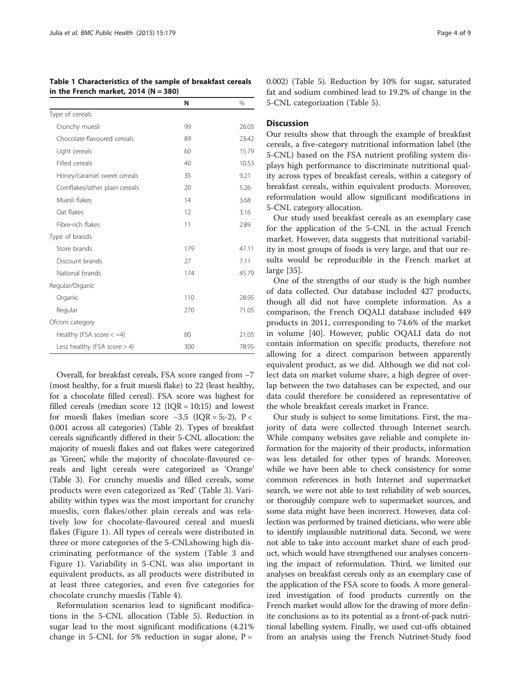|                                | N   | $\frac{0}{0}$ |
|--------------------------------|-----|---------------|
| Type of cereals                |     |               |
| Crunchy muesli                 | 99  | 26.05         |
| Chocolate-flavoured cereals    | 89  | 23.42         |
| Light cereals                  | 60  | 15.79         |
| Filled cereals                 | 40  | 10.53         |
| Honey/caramel sweet cereals    | 35  | 9.21          |
| Cornflakes/other plain cereals | 20  | 5.26          |
| Muesli flakes                  | 14  | 3.68          |
| Oat flakes                     | 12  | 3.16          |
| Fibre-rich flakes              | 11  | 2.89          |
| Type of brands                 |     |               |
| Store brands                   | 179 | 47.11         |
| Discount brands                | 27  | 7.11          |
| National brands                | 174 | 45.79         |
| Regular/Organic                |     |               |
| Organic                        | 110 | 28.95         |
| Regular                        | 270 | 71.05         |
| Ofcom category                 |     |               |
| Healthy (FSA score $\lt$ =4)   | 80  | 21.05         |
| Less healthy (FSA score $>$ 4) | 300 | 78.95         |

<span id="page-3-0"></span>Table 1 Characteristics of the sample of breakfast cereals in the French market,  $2014 (N = 380)$ 

Overall, for breakfast cereals, FSA score ranged from −7 (most healthy, for a fruit muesli flake) to 22 (least healthy, for a chocolate filled cereal). FSA score was highest for filled cereals (median score  $12$  (IOR = 10;15) and lowest for muesli flakes (median score  $-3.5$  (IQR = 5;-2), P < 0.001 across all categories) (Table [2](#page-4-0)). Types of breakfast cereals significantly differed in their 5-CNL allocation: the majority of muesli flakes and oat flakes were categorized as 'Green', while the majority of chocolate-flavoured cereals and light cereals were categorized as 'Orange' (Table [3](#page-4-0)). For crunchy mueslis and filled cereals, some products were even categorized as 'Red' (Table [3](#page-4-0)). Variability within types was the most important for crunchy mueslis, corn flakes/other plain cereals and was relatively low for chocolate-flavoured cereal and muesli flakes (Figure [1\)](#page-5-0). All types of cereals were distributed in three or more categories of the 5-CNLshowing high discriminating performance of the system (Table [3](#page-4-0) and Figure [1\)](#page-5-0). Variability in 5-CNL was also important in equivalent products, as all products were distributed in at least three categories, and even five categories for chocolate crunchy mueslis (Table [4](#page-5-0)).

Reformulation scenarios lead to significant modifications in the 5-CNL allocation (Table [5\)](#page-6-0). Reduction in sugar lead to the most significant modifications (4.21% change in 5-CNL for 5% reduction in sugar alone,  $P =$ 

0.002) (Table [5](#page-6-0)). Reduction by 10% for sugar, saturated fat and sodium combined lead to 19.2% of change in the 5-CNL categorization (Table [5](#page-6-0)).

#### **Discussion**

Our results show that through the example of breakfast cereals, a five-category nutritional information label (the 5-CNL) based on the FSA nutrient profiling system displays high performance to discriminate nutritional quality across types of breakfast cereals, within a category of breakfast cereals, within equivalent products. Moreover, reformulation would allow significant modifications in 5-CNL category allocation.

Our study used breakfast cereals as an exemplary case for the application of the 5-CNL in the actual French market. However, data suggests that nutritional variability in most groups of foods is very large, and that our results would be reproducible in the French market at large [[35](#page-8-0)].

One of the strengths of our study is the high number of data collected. Our database included 427 products, though all did not have complete information. As a comparison, the French OQALI database included 449 products in 2011, corresponding to 74.6% of the market in volume [\[40](#page-8-0)]. However, public OQALI data do not contain information on specific products, therefore not allowing for a direct comparison between apparently equivalent product, as we did. Although we did not collect data on market volume share, a high degree of overlap between the two databases can be expected, and our data could therefore be considered as representative of the whole breakfast cereals market in France.

Our study is subject to some limitations. First, the majority of data were collected through Internet search. While company websites gave reliable and complete information for the majority of their products, information was less detailed for other types of brands. Moreover, while we have been able to check consistency for some common references in both Internet and supermarket search, we were not able to test reliability of web sources, or thoroughly compare web to supermarket sources, and some data might have been incorrect. However, data collection was performed by trained dieticians, who were able to identify implausible nutritional data. Second, we were not able to take into account market share of each product, which would have strengthened our analyses concerning the impact of reformulation. Third, we limited our analyses on breakfast cereals only as an exemplary case of the application of the FSA score to foods. A more generalized investigation of food products currently on the French market would allow for the drawing of more definite conclusions as to its potential as a front-of-pack nutritional labelling system. Finally, we used cut-offs obtained from an analysis using the French Nutrinet-Study food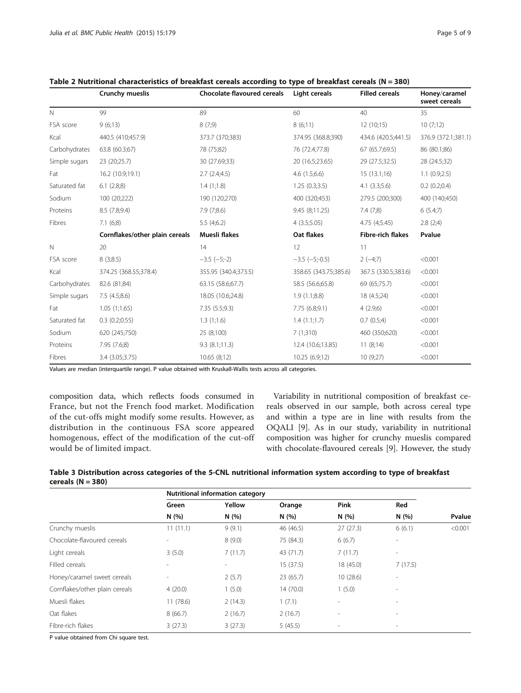|               | Crunchy mueslis                | Chocolate-flavoured cereals | Light cereals         | <b>Filled cereals</b>    | Honey/caramel<br>sweet cereals |
|---------------|--------------------------------|-----------------------------|-----------------------|--------------------------|--------------------------------|
| $\mathbb N$   | 99                             | 89                          | 60                    | 40                       | 35                             |
| FSA score     | 9(6;13)                        | 8(7,9)                      | 8(6;11)               | 12(10;15)                | 10(7;12)                       |
| Kcal          | 440.5 (410;457.9)              | 373.7 (370;383)             | 374.95 (368.8;390)    | 434.6 (420.5;441.5)      | 376.9 (372.1;381.1)            |
| Carbohydrates | 63.8 (60.3;67)                 | 78 (75;82)                  | 76 (72.4;77.8)        | 67 (65.7;69.5)           | 86 (80.1;86)                   |
| Simple sugars | 23 (20;25.7)                   | 30 (27.69;33)               | 20 (16.5;23.65)       | 29 (27.5;32.5)           | 28 (24.5;32)                   |
| Fat           | 16.2 (10.9;19.1)               | 2.7(2.4;4.5)                | 4.6(1.5;6.6)          | 15(13.1;16)              | 1.1(0.9;2.5)                   |
| Saturated fat | 6.1(2.8;8)                     | 1.4(1;1.8)                  | 1.25(0.3;3.5)         | 4.1(3.3;5.6)             | 0.2(0.2;0.4)                   |
| Sodium        | 100 (20;222)                   | 190 (120;270)               | 400 (320;453)         | 279.5 (200;300)          | 400 (140;450)                  |
| Proteins      | 8.5 (7.8;9.4)                  | 7.9(7;8.6)                  | 9.45 (8;11.25)        | 7.4(7:8)                 | 6(5.4;7)                       |
| Fibres        | 7.1(6;8)                       | 5.5(4;6.2)                  | 4(3.5;5.05)           | 4.75 (4;5.45)            | 2.8(2;4)                       |
|               | Cornflakes/other plain cereals | Muesli flakes               | Oat flakes            | <b>Fibre-rich flakes</b> | Pvalue                         |
| $\mathbb N$   | 20                             | 14                          | 12                    | 11                       |                                |
| FSA score     | 8(3;8.5)                       | $-3.5$ $(-5,-2)$            | $-3.5$ $(-5,-0.5)$    | $2(-4;7)$                | < 0.001                        |
| Kcal          | 374.25 (368.55;378.4)          | 355.95 (340.4;373.5)        | 358.65 (343.75;385.6) | 367.5 (330.5;383.6)      | < 0.001                        |
| Carbohydrates | 82.6 (81;84)                   | 63.15 (58.6;67.7)           | 58.5 (56.6;65.8)      | 69 (65;75.7)             | < 0.001                        |
| Simple sugars | 7.5(4.5;8.6)                   | 18.05 (10.6;24.8)           | 1.9(1.1;8.8)          | 18 (4.5;24)              | < 0.001                        |
| Fat           | 1.05(1;1.65)                   | 7.35(5.5;9.3)               | 7.75 (6.8;9.1)        | 4(2.9;6)                 | < 0.001                        |
| Saturated fat | $0.3$ $(0.2;0.55)$             | 1.3(1;1.6)                  | 1.4(1.1;1.7)          | 0.7(0.5;4)               | < 0.001                        |
| Sodium        | 620 (245;750)                  | 25 (8;100)                  | 7(1;310)              | 460 (350;620)            | < 0.001                        |
| Proteins      | 7.95 (7.6;8)                   | 9.3(8.1;11.3)               | 12.4 (10.6;13.85)     | 11(8;14)                 | < 0.001                        |
| Fibres        | 3.4 (3.05;3.75)                | 10.65 (8;12)                | 10.25 (6.9;12)        | 10(9;27)                 | < 0.001                        |

<span id="page-4-0"></span>Table 2 Nutritional characteristics of breakfast cereals according to type of breakfast cereals (N = 380)

Values are median (interquartile range). P value obtained with Kruskall-Wallis tests across all categories.

composition data, which reflects foods consumed in France, but not the French food market. Modification of the cut-offs might modify some results. However, as distribution in the continuous FSA score appeared homogenous, effect of the modification of the cut-off would be of limited impact.

Variability in nutritional composition of breakfast cereals observed in our sample, both across cereal type and within a type are in line with results from the OQALI [\[9](#page-8-0)]. As in our study, variability in nutritional composition was higher for crunchy mueslis compared with chocolate-flavoured cereals [[9\]](#page-8-0). However, the study

| Table 3 Distribution across categories of the 5-CNL nutritional information system according to type of breakfast |  |
|-------------------------------------------------------------------------------------------------------------------|--|
| cereals $(N = 380)$                                                                                               |  |

|                                | Nutritional information category |                          |           |                          |                          |         |
|--------------------------------|----------------------------------|--------------------------|-----------|--------------------------|--------------------------|---------|
|                                | Green                            | Yellow                   | Orange    | Pink                     | Red                      |         |
|                                | N(%)                             | N(%)                     | N(%)      | N(%                      | N(%)                     | Pvalue  |
| Crunchy mueslis                | 11(11.1)                         | 9(9.1)                   | 46 (46.5) | 27(27.3)                 | 6(6.1)                   | < 0.001 |
| Chocolate-flavoured cereals    |                                  | 8(9.0)                   | 75 (84.3) | 6(6.7)                   | $\overline{\phantom{a}}$ |         |
| Light cereals                  | 3(5.0)                           | 7(11.7)                  | 43 (71.7) | 7(11.7)                  | $\overline{\phantom{a}}$ |         |
| Filled cereals                 | ۰                                | $\overline{\phantom{a}}$ | 15(37.5)  | 18 (45.0)                | 7(17.5)                  |         |
| Honey/caramel sweet cereals    | ٠                                | 2(5.7)                   | 23(65.7)  | 10(28.6)                 | $\overline{\phantom{a}}$ |         |
| Cornflakes/other plain cereals | 4(20.0)                          | 1(5.0)                   | 14(70.0)  | 1(5.0)                   | $\overline{\phantom{a}}$ |         |
| Muesli flakes                  | 11(78.6)                         | 2(14.3)                  | 1(7.1)    | $\sim$                   | $\overline{\phantom{a}}$ |         |
| Oat flakes                     | 8(66.7)                          | 2(16.7)                  | 2(16.7)   | $\overline{\phantom{a}}$ | $\overline{\phantom{a}}$ |         |
| Fibre-rich flakes              | 3(27.3)                          | 3(27.3)                  | 5(45.5)   | $\overline{\phantom{a}}$ | $\overline{\phantom{a}}$ |         |

P value obtained from Chi square test.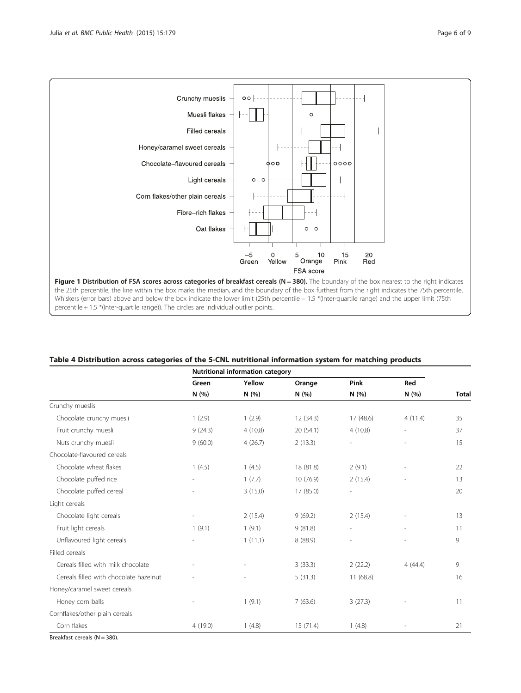<span id="page-5-0"></span>

percentile + 1.5 \*(Inter-quartile range)). The circles are individual outlier points.

| Table 4 Distribution across categories of the 5-CNL nutritional information system for matching products |  |  |
|----------------------------------------------------------------------------------------------------------|--|--|
|----------------------------------------------------------------------------------------------------------|--|--|

|                                        | Nutritional information category |         |           |                          |         |              |
|----------------------------------------|----------------------------------|---------|-----------|--------------------------|---------|--------------|
|                                        | Green                            | Yellow  | Orange    | Pink                     | Red     |              |
|                                        | N(%)                             | N (%)   | N (%)     | N (%)                    | N (%)   | <b>Total</b> |
| Crunchy mueslis                        |                                  |         |           |                          |         |              |
| Chocolate crunchy muesli               | 1(2.9)                           | 1(2.9)  | 12 (34.3) | 17 (48.6)                | 4(11.4) | 35           |
| Fruit crunchy muesli                   | 9(24.3)                          | 4(10.8) | 20 (54.1) | 4(10.8)                  |         | 37           |
| Nuts crunchy muesli                    | 9(60.0)                          | 4(26.7) | 2(13.3)   | Ĭ.                       |         | 15           |
| Chocolate-flavoured cereals            |                                  |         |           |                          |         |              |
| Chocolate wheat flakes                 | 1(4.5)                           | 1(4.5)  | 18 (81.8) | 2(9.1)                   |         | 22           |
| Chocolate puffed rice                  |                                  | 1(7.7)  | 10 (76.9) | 2(15.4)                  |         | 13           |
| Chocolate puffed cereal                |                                  | 3(15.0) | 17 (85.0) | $\overline{\phantom{a}}$ |         | 20           |
| Light cereals                          |                                  |         |           |                          |         |              |
| Chocolate light cereals                |                                  | 2(15.4) | 9(69.2)   | 2(15.4)                  |         | 13           |
| Fruit light cereals                    | 1(9.1)                           | 1(9.1)  | 9(81.8)   |                          |         | 11           |
| Unflavoured light cereals              |                                  | 1(11.1) | 8(88.9)   |                          |         | 9            |
| Filled cereals                         |                                  |         |           |                          |         |              |
| Cereals filled with milk chocolate     |                                  |         | 3(33.3)   | 2(22.2)                  | 4(44.4) | 9            |
| Cereals filled with chocolate hazelnut |                                  |         | 5(31.3)   | 11(68.8)                 |         | 16           |
| Honey/caramel sweet cereals            |                                  |         |           |                          |         |              |
| Honey corn balls                       |                                  | 1(9.1)  | 7(63.6)   | 3(27.3)                  |         | 11           |
| Cornflakes/other plain cereals         |                                  |         |           |                          |         |              |
| Corn flakes                            | 4(19.0)                          | 1(4.8)  | 15 (71.4) | 1(4.8)                   |         | 21           |

Breakfast cereals ( $N = 380$ ).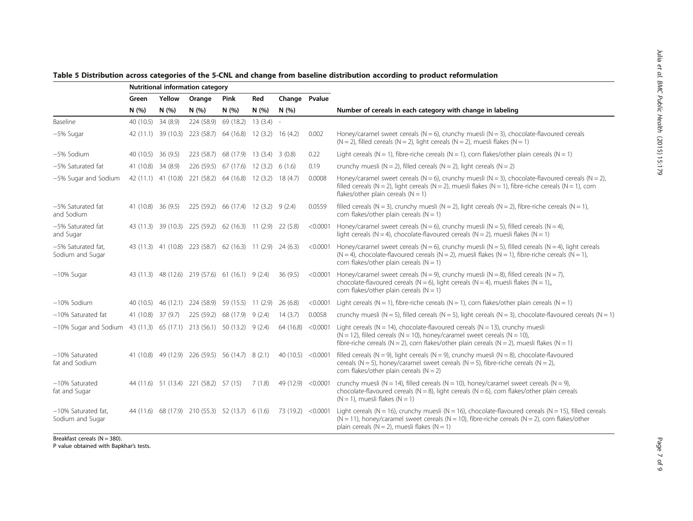|                                                                           | Nutritional information category |                     |                                                            |                    |                     |                     |          |                                                                                                                                                                                                                                                                          |
|---------------------------------------------------------------------------|----------------------------------|---------------------|------------------------------------------------------------|--------------------|---------------------|---------------------|----------|--------------------------------------------------------------------------------------------------------------------------------------------------------------------------------------------------------------------------------------------------------------------------|
|                                                                           | Green                            | Yellow              | Orange                                                     | Pink               | Red                 | Change Pvalue       |          |                                                                                                                                                                                                                                                                          |
|                                                                           | N(%)                             | N(%)                | N(%)                                                       | N(%)               | N(%)                | N(%)                |          | Number of cereals in each category with change in labeling                                                                                                                                                                                                               |
| Baseline                                                                  | 40 (10.5)                        | 34 (8.9)            | 224 (58.9)                                                 | 69 (18.2)          | $13(3.4) -$         |                     |          |                                                                                                                                                                                                                                                                          |
| -5% Sugar                                                                 |                                  | 42 (11.1) 39 (10.3) | 223 (58.7)                                                 | 64 (16.8)          |                     | $12(3.2)$ $16(4.2)$ | 0.002    | Honey/caramel sweet cereals ( $N = 6$ ), crunchy muesli ( $N = 3$ ), chocolate-flavoured cereals<br>$(N = 2)$ , filled cereals $(N = 2)$ , light cereals $(N = 2)$ , muesli flakes $(N = 1)$                                                                             |
| -5% Sodium                                                                | 40 (10.5) 36 (9.5)               |                     | 223 (58.7)                                                 | 68 (17.9)          | $13(3.4)$ 3 $(0.8)$ |                     | 0.22     | Light cereals (N = 1), fibre-riche cereals (N = 1), corn flakes/other plain cereals (N = 1)                                                                                                                                                                              |
| -5% Saturated fat                                                         | 41 (10.8)                        | 34 (8.9)            | 226(59.5)                                                  | 67(17.6)           | 12(3.2) 6(1.6)      |                     | 0.19     | crunchy muesli (N = 2), filled cereals (N = 2), light cereals (N = 2)                                                                                                                                                                                                    |
| -5% Sugar and Sodium                                                      |                                  |                     | 42 (11.1) 41 (10.8) 221 (58.2) 64 (16.8) 12 (3.2) 18 (4.7) |                    |                     |                     | 0.0008   | Honey/caramel sweet cereals (N = 6), crunchy muesli (N = 3), chocolate-flavoured cereals (N = 2),<br>filled cereals (N = 2), light cereals (N = 2), muesli flakes (N = 1), fibre-riche cereals (N = 1), corn<br>flakes/other plain cereals $(N = 1)$                     |
| -5% Saturated fat<br>and Sodium                                           | 41 (10.8) 36 (9.5)               |                     | 225 (59.2) 66 (17.4) 12 (3.2) 9 (2.4)                      |                    |                     |                     | 0.0559   | filled cereals (N = 3), crunchy muesli (N = 2), light cereals (N = 2), fibre-riche cereals (N = 1),<br>corn flakes/other plain cereals $(N = 1)$                                                                                                                         |
| -5% Saturated fat<br>and Sugar                                            |                                  |                     | 43 (11.3) 39 (10.3) 225 (59.2) 62 (16.3) 11 (2.9) 22 (5.8) |                    |                     |                     | < 0.0001 | Honey/caramel sweet cereals (N = 6), crunchy muesli (N = 5), filled cereals (N = 4),<br>light cereals (N = 4), chocolate-flavoured cereals (N = 2), muesli flakes (N = 1)                                                                                                |
| -5% Saturated fat,<br>Sodium and Sugar                                    |                                  |                     | 43 (11.3) 41 (10.8) 223 (58.7) 62 (16.3) 11 (2.9) 24 (6.3) |                    |                     |                     | < 0.0001 | Honey/caramel sweet cereals (N = 6), crunchy muesli (N = 5), filled cereals (N = 4), light cereals<br>$(N = 4)$ , chocolate-flavoured cereals $(N = 2)$ , muesli flakes $(N = 1)$ , fibre-riche cereals $(N = 1)$ ,<br>corn flakes/other plain cereals $(N = 1)$         |
| $-10%$ Sugar                                                              |                                  |                     | 43 (11.3) 48 (12.6) 219 (57.6) 61 (16.1) 9 (2.4)           |                    |                     | 36(9.5)             | < 0.0001 | Honey/caramel sweet cereals (N = 9), crunchy muesli (N = 8), filled cereals (N = 7),<br>chocolate-flavoured cereals (N = 6), light cereals (N = 4), muesli flakes (N = 1),<br>corn flakes/other plain cereals $(N = 1)$                                                  |
| $-10\%$ Sodium                                                            |                                  |                     | 40 (10.5) 46 (12.1) 224 (58.9)                             | 59 (15.5) 11 (2.9) |                     | 26(6.8)             | < 0.0001 | Light cereals (N = 1), fibre-riche cereals (N = 1), corn flakes/other plain cereals (N = 1)                                                                                                                                                                              |
| -10% Saturated fat                                                        | 41 (10.8) 37 (9.7)               |                     | 225 (59.2)                                                 | 68 (17.9)          | 9(2.4)              | 14(3.7)             | 0.0058   | crunchy muesli (N = 5), filled cereals (N = 5), light cereals (N = 3), chocolate-flavoured cereals (N = 1)                                                                                                                                                               |
| $-10\%$ Sugar and Sodium 43 (11.3) 65 (17.1) 213 (56.1) 50 (13.2) 9 (2.4) |                                  |                     |                                                            |                    |                     | 64 (16.8)           | < 0.0001 | Light cereals ( $N = 14$ ), chocolate-flavoured cereals ( $N = 13$ ), crunchy muesli<br>$(N = 12)$ , filled cereals $(N = 10)$ , honey/caramel sweet cereals $(N = 10)$ ,<br>fibre-riche cereals (N = 2), corn flakes/other plain cereals (N = 2), muesli flakes (N = 1) |
| -10% Saturated<br>fat and Sodium                                          |                                  |                     | 41 (10.8) 49 (12.9) 226 (59.5) 56 (14.7) 8 (2.1)           |                    |                     | 40 (10.5) < 0.0001  |          | filled cereals (N = 9), light cereals (N = 9), crunchy muesli (N = 8), chocolate-flavoured<br>cereals (N = 5), honey/caramel sweet cereals (N = 5), fibre-riche cereals (N = 2),<br>corn flakes/other plain cereals ( $N = 2$ )                                          |
| -10% Saturated<br>fat and Sugar                                           |                                  |                     | 44 (11.6) 51 (13.4) 221 (58.2) 57 (15)                     |                    | 7(1.8)              | 49 (12.9)           | < 0.0001 | crunchy muesli (N = 14), filled cereals (N = 10), honey/caramel sweet cereals (N = 9),<br>chocolate-flavoured cereals ( $N = 8$ ), light cereals ( $N = 6$ ), corn flakes/other plain cereals<br>$(N = 1)$ , muesli flakes $(N = 1)$                                     |
| –10% Saturated fat.<br>Sodium and Sugar                                   |                                  |                     | 44 (11.6) 68 (17.9) 210 (55.3) 52 (13.7) 6 (1.6)           |                    |                     | 73 (19.2)           | < 0.0001 | Light cereals (N = 16), crunchy muesli (N = 16), chocolate-flavoured cereals (N = 15), filled cereals<br>$(N = 11)$ , honey/caramel sweet cereals $(N = 10)$ , fibre-riche cereals $(N = 2)$ , corn flakes/other<br>plain cereals ( $N = 2$ ), muesli flakes ( $N = 1$ ) |

<span id="page-6-0"></span>Table 5 Distribution across categories of the 5-CNL and change from baseline distribution according to product reformulation

Breakfast cereals  $(N = 380)$ .

P value obtained with Bapkhar's tests.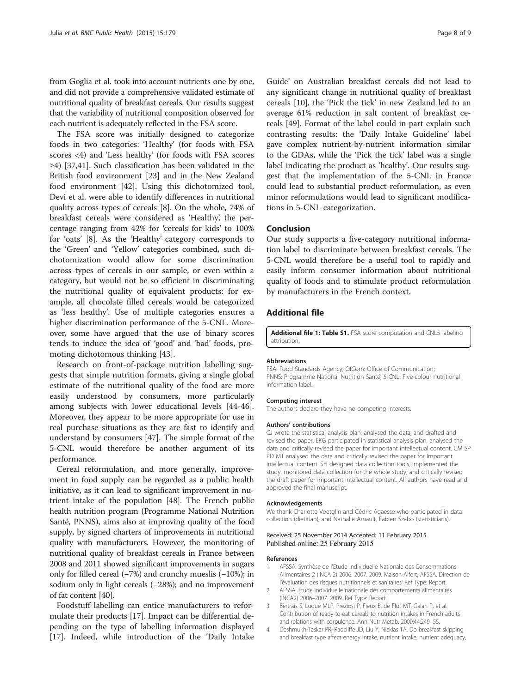<span id="page-7-0"></span>from Goglia et al. took into account nutrients one by one, and did not provide a comprehensive validated estimate of nutritional quality of breakfast cereals. Our results suggest that the variability of nutritional composition observed for each nutrient is adequately reflected in the FSA score.

The FSA score was initially designed to categorize foods in two categories: 'Healthy' (for foods with FSA scores <4) and 'Less healthy' (for foods with FSA scores ≥4) [[37,41\]](#page-8-0). Such classification has been validated in the British food environment [[23\]](#page-8-0) and in the New Zealand food environment [\[42](#page-8-0)]. Using this dichotomized tool, Devi et al. were able to identify differences in nutritional quality across types of cereals [\[8](#page-8-0)]. On the whole, 74% of breakfast cereals were considered as 'Healthy', the percentage ranging from 42% for 'cereals for kids' to 100% for 'oats' [\[8](#page-8-0)]. As the 'Healthy' category corresponds to the 'Green' and 'Yellow' categories combined, such dichotomization would allow for some discrimination across types of cereals in our sample, or even within a category, but would not be so efficient in discriminating the nutritional quality of equivalent products: for example, all chocolate filled cereals would be categorized as 'less healthy'. Use of multiple categories ensures a higher discrimination performance of the 5-CNL. Moreover, some have argued that the use of binary scores tends to induce the idea of 'good' and 'bad' foods, promoting dichotomous thinking [\[43\]](#page-8-0).

Research on front-of-package nutrition labelling suggests that simple nutrition formats, giving a single global estimate of the nutritional quality of the food are more easily understood by consumers, more particularly among subjects with lower educational levels [\[44-46](#page-8-0)]. Moreover, they appear to be more appropriate for use in real purchase situations as they are fast to identify and understand by consumers [[47\]](#page-8-0). The simple format of the 5-CNL would therefore be another argument of its performance.

Cereal reformulation, and more generally, improvement in food supply can be regarded as a public health initiative, as it can lead to significant improvement in nutrient intake of the population [\[48\]](#page-8-0). The French public health nutrition program (Programme National Nutrition Santé, PNNS), aims also at improving quality of the food supply, by signed charters of improvements in nutritional quality with manufacturers. However, the monitoring of nutritional quality of breakfast cereals in France between 2008 and 2011 showed significant improvements in sugars only for filled cereal (−7%) and crunchy mueslis (−10%); in sodium only in light cereals (−28%); and no improvement of fat content [\[40\]](#page-8-0).

Foodstuff labelling can entice manufacturers to reformulate their products [[17](#page-8-0)]. Impact can be differential depending on the type of labelling information displayed [[17\]](#page-8-0). Indeed, while introduction of the 'Daily Intake

Guide' on Australian breakfast cereals did not lead to any significant change in nutritional quality of breakfast cereals [\[10\]](#page-8-0), the 'Pick the tick' in new Zealand led to an average 61% reduction in salt content of breakfast cereals [[49\]](#page-8-0). Format of the label could in part explain such contrasting results: the 'Daily Intake Guideline' label gave complex nutrient-by-nutrient information similar to the GDAs, while the 'Pick the tick' label was a single label indicating the product as 'healthy'. Our results suggest that the implementation of the 5-CNL in France could lead to substantial product reformulation, as even minor reformulations would lead to significant modifications in 5-CNL categorization.

## Conclusion

Our study supports a five-category nutritional information label to discriminate between breakfast cereals. The 5-CNL would therefore be a useful tool to rapidly and easily inform consumer information about nutritional quality of foods and to stimulate product reformulation by manufacturers in the French context.

## Additional file

[Additional file 1: Table S1.](http://www.biomedcentral.com/content/supplementary/s12889-015-1522-y-s1.doc) FSA score computation and CNL5 labeling attribution.

#### Abbreviations

FSA: Food Standards Agency; OfCom: Office of Communication; PNNS: Programme National Nutrition Santé; 5-CNL: Five-colour nutritional information label.

#### Competing interest

The authors declare they have no competing interests.

#### Authors' contributions

CJ wrote the statistical analysis plan, analysed the data, and drafted and revised the paper. EKG participated in statistical analysis plan, analysed the data and critically revised the paper for important intellectual content. CM SP PD MT analysed the data and critically revised the paper for important intellectual content. SH designed data collection tools, implemented the study, monitored data collection for the whole study, and critically revised the draft paper for important intellectual content. All authors have read and approved the final manuscript.

#### Acknowledgements

We thank Charlotte Voetglin and Cédric Agaesse who participated in data collection (dietitian), and Nathalie Arnault, Fabien Szabo (statisticians).

#### Received: 25 November 2014 Accepted: 11 February 2015 Published online: 25 February 2015

#### References

- 1. AFSSA. Synthèse de l'Etude Individuelle Nationale des Consommations Alimentaires 2 (INCA 2) 2006–2007. 2009. Maison-Alfort, AFSSA. Direction de l'évaluation des risques nutritionnels et sanitaires .Ref Type: Report.
- 2. AFSSA. Etude individuelle nationale des comportements alimentaires (INCA2) 2006–2007. 2009. Ref Type: Report.
- 3. Bertrais S, Luque MLP, Preziosi P, Fieux B, de Flot MT, Galan P, et al. Contribution of ready-to-eat cereals to nutrition intakes in French adults and relations with corpulence. Ann Nutr Metab. 2000;44:249–55.
- 4. Deshmukh-Taskar PR, Radcliffe JD, Liu Y, Nicklas TA. Do breakfast skipping and breakfast type affect energy intake, nutrient intake, nutrient adequacy,